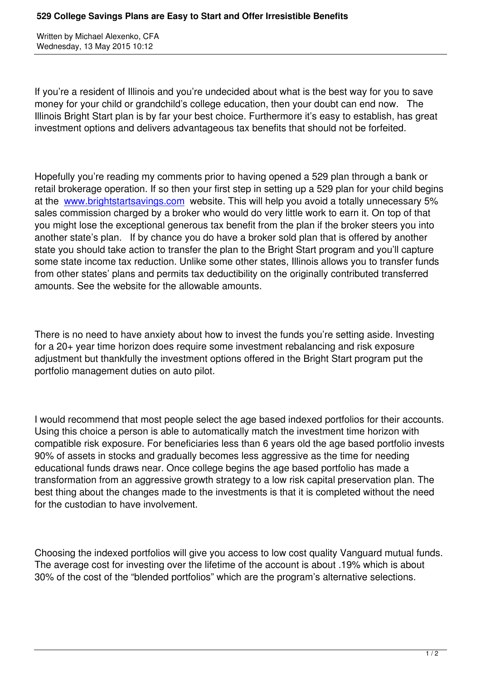If you're a resident of Illinois and you're undecided about what is the best way for you to save money for your child or grandchild's college education, then your doubt can end now. The Illinois Bright Start plan is by far your best choice. Furthermore it's easy to establish, has great investment options and delivers advantageous tax benefits that should not be forfeited.

Hopefully you're reading my comments prior to having opened a 529 plan through a bank or retail brokerage operation. If so then your first step in setting up a 529 plan for your child begins at the www.brightstartsavings.com website. This will help you avoid a totally unnecessary 5% sales commission charged by a broker who would do very little work to earn it. On top of that you might lose the exceptional generous tax benefit from the plan if the broker steers you into anoth[er state's plan. If by chance y](http://www.brightstartsavings.com)ou do have a broker sold plan that is offered by another state you should take action to transfer the plan to the Bright Start program and you'll capture some state income tax reduction. Unlike some other states, Illinois allows you to transfer funds from other states' plans and permits tax deductibility on the originally contributed transferred amounts. See the website for the allowable amounts.

There is no need to have anxiety about how to invest the funds you're setting aside. Investing for a 20+ year time horizon does require some investment rebalancing and risk exposure adjustment but thankfully the investment options offered in the Bright Start program put the portfolio management duties on auto pilot.

I would recommend that most people select the age based indexed portfolios for their accounts. Using this choice a person is able to automatically match the investment time horizon with compatible risk exposure. For beneficiaries less than 6 years old the age based portfolio invests 90% of assets in stocks and gradually becomes less aggressive as the time for needing educational funds draws near. Once college begins the age based portfolio has made a transformation from an aggressive growth strategy to a low risk capital preservation plan. The best thing about the changes made to the investments is that it is completed without the need for the custodian to have involvement.

Choosing the indexed portfolios will give you access to low cost quality Vanguard mutual funds. The average cost for investing over the lifetime of the account is about .19% which is about 30% of the cost of the "blended portfolios" which are the program's alternative selections.